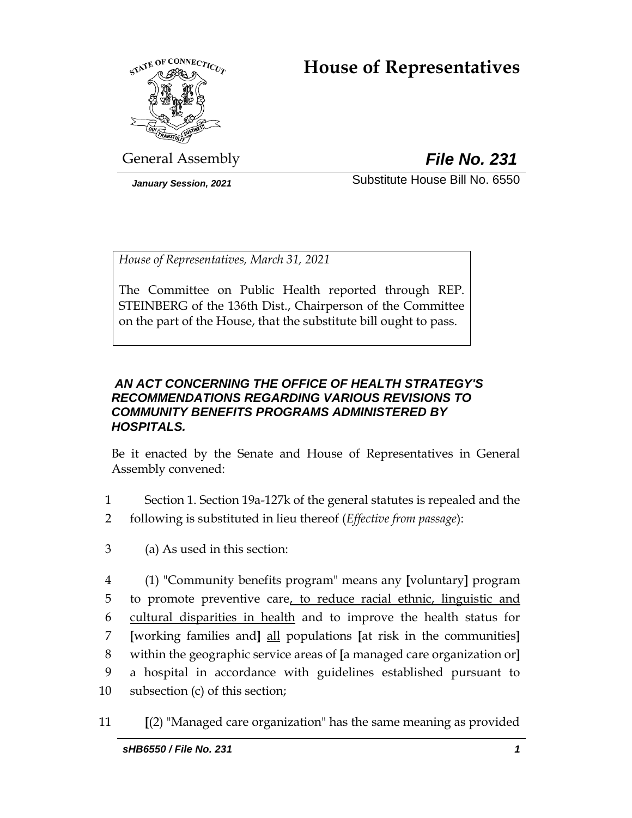# **House of Representatives**



General Assembly *File No. 231*

*January Session, 2021* Substitute House Bill No. 6550

*House of Representatives, March 31, 2021*

The Committee on Public Health reported through REP. STEINBERG of the 136th Dist., Chairperson of the Committee on the part of the House, that the substitute bill ought to pass.

# *AN ACT CONCERNING THE OFFICE OF HEALTH STRATEGY'S RECOMMENDATIONS REGARDING VARIOUS REVISIONS TO COMMUNITY BENEFITS PROGRAMS ADMINISTERED BY HOSPITALS.*

Be it enacted by the Senate and House of Representatives in General Assembly convened:

- 1 Section 1. Section 19a-127k of the general statutes is repealed and the 2 following is substituted in lieu thereof (*Effective from passage*):
- 3 (a) As used in this section:
- 4 (1) "Community benefits program" means any **[**voluntary**]** program 5 to promote preventive care, to reduce racial ethnic, linguistic and 6 cultural disparities in health and to improve the health status for 7 **[**working families and**]** all populations **[**at risk in the communities**]** 8 within the geographic service areas of **[**a managed care organization or**]** 9 a hospital in accordance with guidelines established pursuant to 10 subsection (c) of this section;
- 11 **[**(2) "Managed care organization" has the same meaning as provided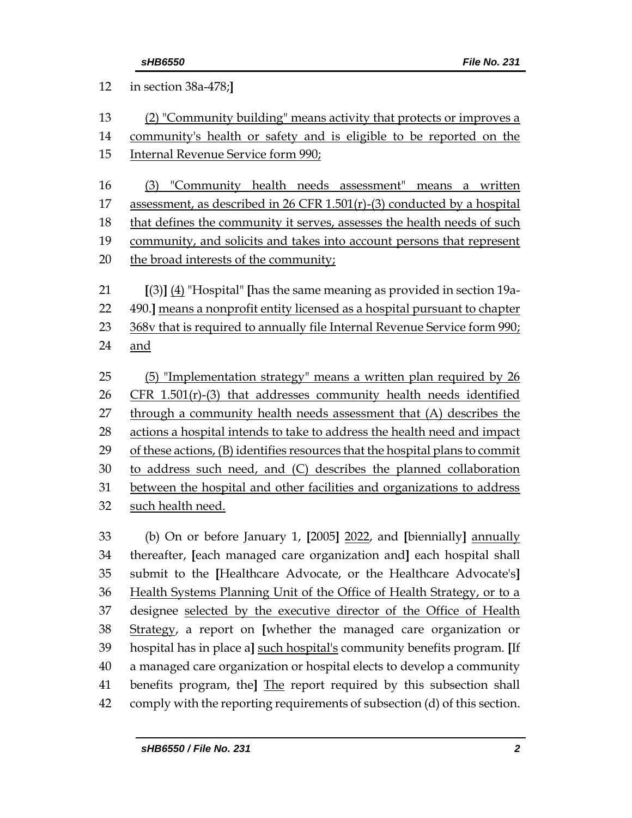| 12 | in section 38a-478;]                                                         |  |  |
|----|------------------------------------------------------------------------------|--|--|
| 13 | (2) "Community building" means activity that protects or improves a          |  |  |
| 14 | community's health or safety and is eligible to be reported on the           |  |  |
| 15 | Internal Revenue Service form 990;                                           |  |  |
| 16 | "Community health needs assessment" means a written<br>(3)                   |  |  |
| 17 | assessment, as described in 26 CFR 1.501(r)-(3) conducted by a hospital      |  |  |
| 18 | that defines the community it serves, assesses the health needs of such      |  |  |
| 19 | community, and solicits and takes into account persons that represent        |  |  |
| 20 | the broad interests of the community;                                        |  |  |
| 21 | $[(3)]$ $(4)$ "Hospital" [has the same meaning as provided in section 19a-   |  |  |
| 22 | 490.] means a nonprofit entity licensed as a hospital pursuant to chapter    |  |  |
| 23 | 368v that is required to annually file Internal Revenue Service form 990;    |  |  |
| 24 | and                                                                          |  |  |
| 25 | (5) "Implementation strategy" means a written plan required by 26            |  |  |
| 26 | $CFR$ 1.501(r)-(3) that addresses community health needs identified          |  |  |
| 27 | through a community health needs assessment that (A) describes the           |  |  |
| 28 | actions a hospital intends to take to address the health need and impact     |  |  |
| 29 | of these actions, (B) identifies resources that the hospital plans to commit |  |  |
| 30 | to address such need, and (C) describes the planned collaboration            |  |  |
| 31 | between the hospital and other facilities and organizations to address       |  |  |
| 32 | such health need.                                                            |  |  |
| 33 | (b) On or before January 1, [2005] 2022, and [biennially] annually           |  |  |
| 34 | thereafter, Jeach managed care organization and] each hospital shall         |  |  |
| 35 | submit to the [Healthcare Advocate, or the Healthcare Advocate's]            |  |  |
| 36 | Health Systems Planning Unit of the Office of Health Strategy, or to a       |  |  |
| 37 | designee selected by the executive director of the Office of Health          |  |  |
| 38 | Strategy, a report on [whether the managed care organization or              |  |  |
| 39 | hospital has in place a] such hospital's community benefits program. [If     |  |  |
| 40 | a managed care organization or hospital elects to develop a community        |  |  |
| 41 | benefits program, the] The report required by this subsection shall          |  |  |

comply with the reporting requirements of subsection (d) of this section.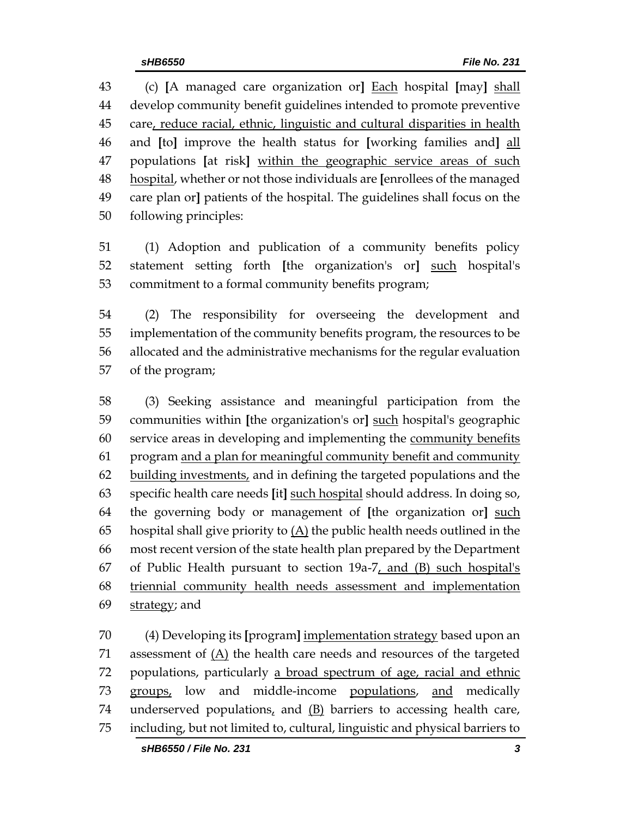(c) **[**A managed care organization or**]** Each hospital **[**may**]** shall develop community benefit guidelines intended to promote preventive 45 care, reduce racial, ethnic, linguistic and cultural disparities in health and **[**to**]** improve the health status for **[**working families and**]** all populations **[**at risk**]** within the geographic service areas of such hospital, whether or not those individuals are **[**enrollees of the managed care plan or**]** patients of the hospital. The guidelines shall focus on the following principles:

 (1) Adoption and publication of a community benefits policy statement setting forth **[**the organization's or**]** such hospital's commitment to a formal community benefits program;

 (2) The responsibility for overseeing the development and implementation of the community benefits program, the resources to be allocated and the administrative mechanisms for the regular evaluation of the program;

 (3) Seeking assistance and meaningful participation from the communities within **[**the organization's or**]** such hospital's geographic service areas in developing and implementing the community benefits program and a plan for meaningful community benefit and community building investments, and in defining the targeted populations and the specific health care needs **[**it**]** such hospital should address. In doing so, the governing body or management of **[**the organization or**]** such 65 hospital shall give priority to  $(A)$  the public health needs outlined in the most recent version of the state health plan prepared by the Department of Public Health pursuant to section 19a-7, and (B) such hospital's triennial community health needs assessment and implementation 69 strategy; and

 (4) Developing its **[**program**]** implementation strategy based upon an assessment of (A) the health care needs and resources of the targeted populations, particularly a broad spectrum of age, racial and ethnic 73 groups, low and middle-income populations, and medically 74 underserved populations, and  $(B)$  barriers to accessing health care, including, but not limited to, cultural, linguistic and physical barriers to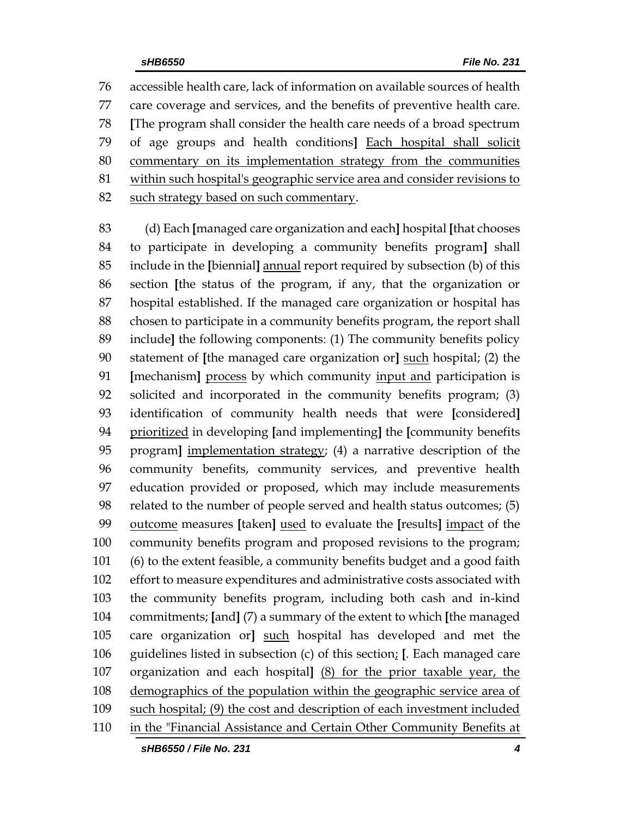accessible health care, lack of information on available sources of health care coverage and services, and the benefits of preventive health care. **[**The program shall consider the health care needs of a broad spectrum of age groups and health conditions**]** Each hospital shall solicit commentary on its implementation strategy from the communities within such hospital's geographic service area and consider revisions to 82 such strategy based on such commentary.

 (d) Each **[**managed care organization and each**]** hospital **[**that chooses to participate in developing a community benefits program**]** shall include in the **[**biennial**]** annual report required by subsection (b) of this section **[**the status of the program, if any, that the organization or hospital established. If the managed care organization or hospital has chosen to participate in a community benefits program, the report shall include**]** the following components: (1) The community benefits policy statement of **[**the managed care organization or**]** such hospital; (2) the **[**mechanism**]** process by which community input and participation is solicited and incorporated in the community benefits program; (3) identification of community health needs that were **[**considered**]** prioritized in developing **[**and implementing**]** the **[**community benefits program**]** implementation strategy; (4) a narrative description of the community benefits, community services, and preventive health education provided or proposed, which may include measurements related to the number of people served and health status outcomes; (5) outcome measures **[**taken**]** used to evaluate the **[**results**]** impact of the community benefits program and proposed revisions to the program; (6) to the extent feasible, a community benefits budget and a good faith effort to measure expenditures and administrative costs associated with the community benefits program, including both cash and in-kind commitments; **[**and**]** (7) a summary of the extent to which **[**the managed care organization or**]** such hospital has developed and met the guidelines listed in subsection (c) of this section; **[**. Each managed care organization and each hospital**]** (8) for the prior taxable year, the demographics of the population within the geographic service area of 109 such hospital; (9) the cost and description of each investment included 110 in the "Financial Assistance and Certain Other Community Benefits at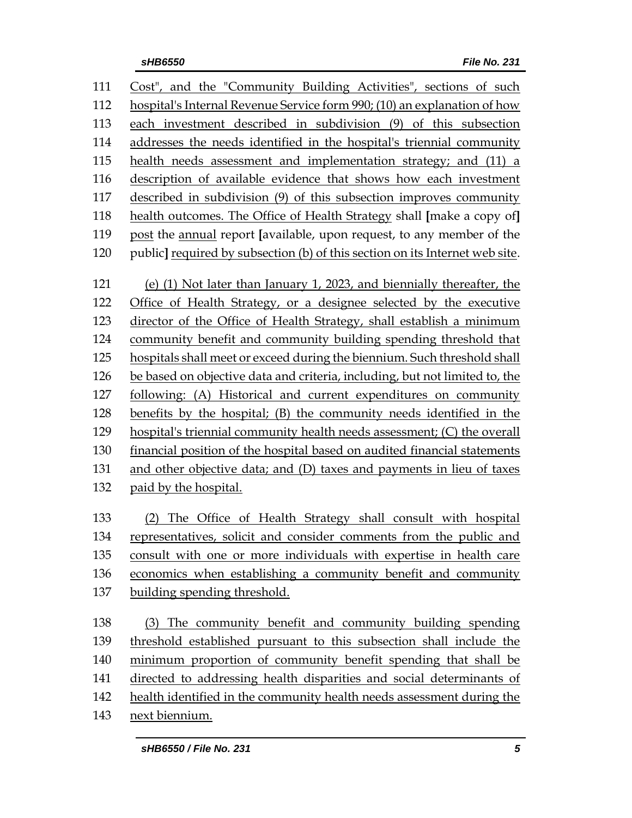| 111 | Cost", and the "Community Building Activities", sections of such             |  |  |  |
|-----|------------------------------------------------------------------------------|--|--|--|
| 112 | hospital's Internal Revenue Service form 990; (10) an explanation of how     |  |  |  |
| 113 | each investment described in subdivision (9) of this subsection              |  |  |  |
| 114 | addresses the needs identified in the hospital's triennial community         |  |  |  |
| 115 | health needs assessment and implementation strategy; and (11) a              |  |  |  |
| 116 | description of available evidence that shows how each investment             |  |  |  |
| 117 | described in subdivision (9) of this subsection improves community           |  |  |  |
| 118 | health outcomes. The Office of Health Strategy shall [make a copy of]        |  |  |  |
| 119 | post the annual report [available, upon request, to any member of the        |  |  |  |
| 120 | public] required by subsection (b) of this section on its Internet web site. |  |  |  |
| 121 | (e) (1) Not later than January 1, 2023, and biennially thereafter, the       |  |  |  |
| 122 | Office of Health Strategy, or a designee selected by the executive           |  |  |  |
| 123 | director of the Office of Health Strategy, shall establish a minimum         |  |  |  |
| 124 | community benefit and community building spending threshold that             |  |  |  |
| 125 | hospitals shall meet or exceed during the biennium. Such threshold shall     |  |  |  |
| 126 | be based on objective data and criteria, including, but not limited to, the  |  |  |  |
| 127 | following: (A) Historical and current expenditures on community              |  |  |  |
| 128 | benefits by the hospital; (B) the community needs identified in the          |  |  |  |
| 129 | hospital's triennial community health needs assessment; (C) the overall      |  |  |  |
| 130 | financial position of the hospital based on audited financial statements     |  |  |  |
| 131 | and other objective data; and (D) taxes and payments in lieu of taxes        |  |  |  |
| 132 | paid by the hospital.                                                        |  |  |  |
| 133 | (2) The Office of Health Strategy shall consult with hospital                |  |  |  |
| 134 | representatives, solicit and consider comments from the public and           |  |  |  |
| 135 | consult with one or more individuals with expertise in health care           |  |  |  |
| 136 | economics when establishing a community benefit and community                |  |  |  |
| 137 | building spending threshold.                                                 |  |  |  |
| 138 | (3) The community benefit and community building spending                    |  |  |  |
| 139 | threshold established pursuant to this subsection shall include the          |  |  |  |
| 140 | minimum proportion of community benefit spending that shall be               |  |  |  |
| 141 | directed to addressing health disparities and social determinants of         |  |  |  |
| 142 | health identified in the community health needs assessment during the        |  |  |  |
| 143 | next biennium.                                                               |  |  |  |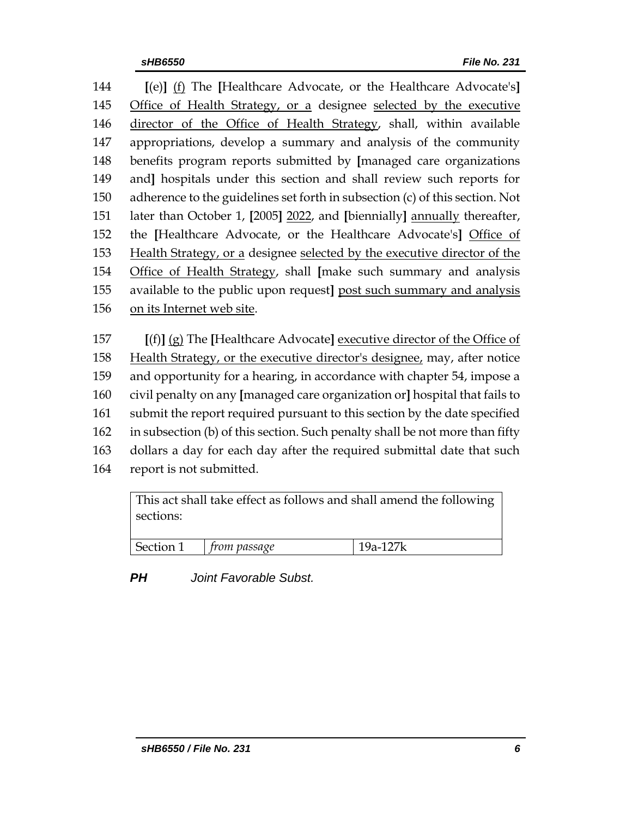**[**(e)**]** (f) The **[**Healthcare Advocate, or the Healthcare Advocate's**]** Office of Health Strategy, or a designee selected by the executive director of the Office of Health Strategy, shall, within available appropriations, develop a summary and analysis of the community benefits program reports submitted by **[**managed care organizations and**]** hospitals under this section and shall review such reports for adherence to the guidelines set forth in subsection (c) of this section. Not later than October 1, **[**2005**]** 2022, and **[**biennially**]** annually thereafter, the **[**Healthcare Advocate, or the Healthcare Advocate's**]** Office of Health Strategy, or a designee selected by the executive director of the Office of Health Strategy, shall **[**make such summary and analysis available to the public upon request**]** post such summary and analysis on its Internet web site.

 **[**(f)**]** (g) The **[**Healthcare Advocate**]** executive director of the Office of Health Strategy, or the executive director's designee, may, after notice and opportunity for a hearing, in accordance with chapter 54, impose a civil penalty on any **[**managed care organization or**]** hospital that fails to submit the report required pursuant to this section by the date specified in subsection (b) of this section. Such penalty shall be not more than fifty dollars a day for each day after the required submittal date that such report is not submitted.

| This act shall take effect as follows and shall amend the following<br>sections: |              |          |  |  |
|----------------------------------------------------------------------------------|--------------|----------|--|--|
| Section 1                                                                        | from passage | 19a-127k |  |  |

*PH Joint Favorable Subst.*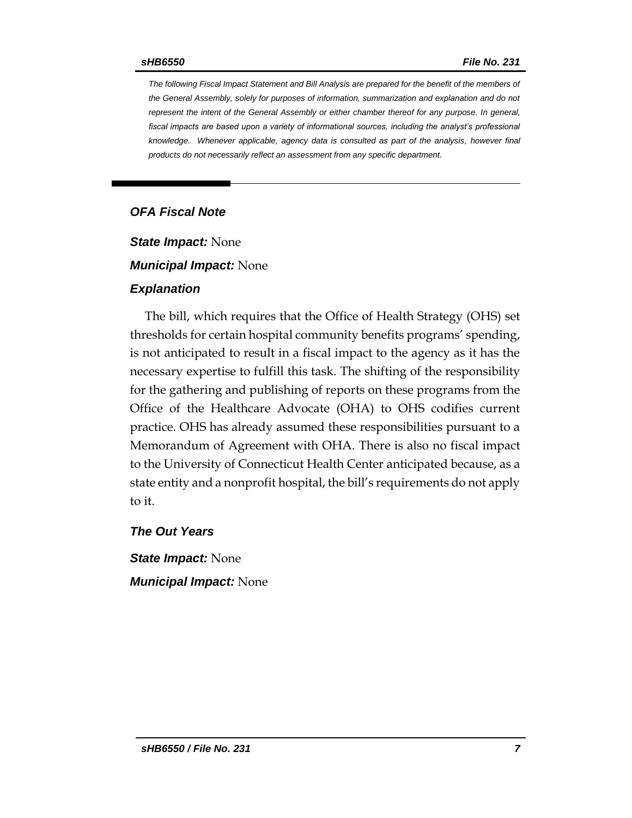*The following Fiscal Impact Statement and Bill Analysis are prepared for the benefit of the members of the General Assembly, solely for purposes of information, summarization and explanation and do not represent the intent of the General Assembly or either chamber thereof for any purpose. In general,*  fiscal impacts are based upon a variety of informational sources, including the analyst's professional *knowledge. Whenever applicable, agency data is consulted as part of the analysis, however final products do not necessarily reflect an assessment from any specific department.*

## *OFA Fiscal Note*

*State Impact:* None

*Municipal Impact:* None

#### *Explanation*

The bill, which requires that the Office of Health Strategy (OHS) set thresholds for certain hospital community benefits programs' spending, is not anticipated to result in a fiscal impact to the agency as it has the necessary expertise to fulfill this task. The shifting of the responsibility for the gathering and publishing of reports on these programs from the Office of the Healthcare Advocate (OHA) to OHS codifies current practice. OHS has already assumed these responsibilities pursuant to a Memorandum of Agreement with OHA. There is also no fiscal impact to the University of Connecticut Health Center anticipated because, as a state entity and a nonprofit hospital, the bill's requirements do not apply to it.

### *The Out Years*

*State Impact:* None *Municipal Impact:* None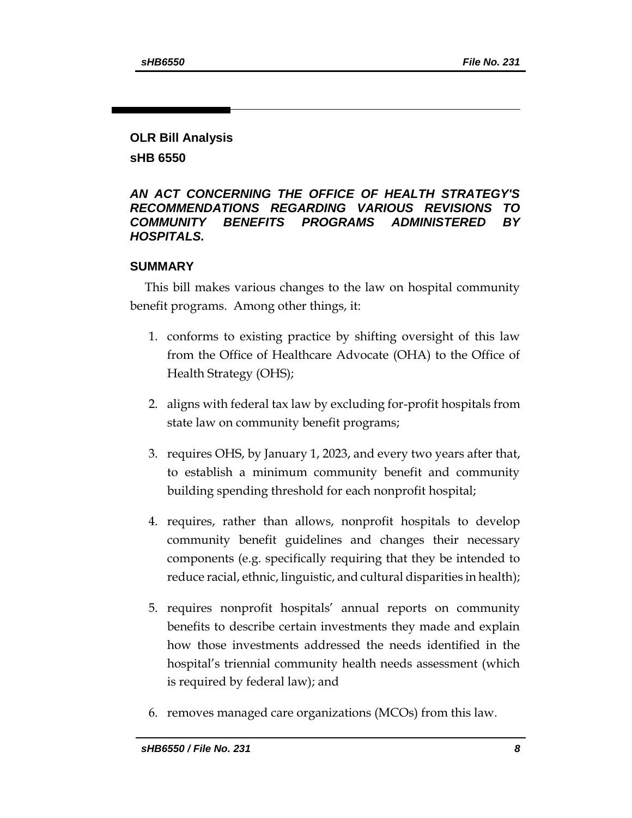# **OLR Bill Analysis**

**sHB 6550**

## *AN ACT CONCERNING THE OFFICE OF HEALTH STRATEGY'S RECOMMENDATIONS REGARDING VARIOUS REVISIONS TO COMMUNITY BENEFITS PROGRAMS ADMINISTERED BY HOSPITALS.*

# **SUMMARY**

This bill makes various changes to the law on hospital community benefit programs. Among other things, it:

- 1. conforms to existing practice by shifting oversight of this law from the Office of Healthcare Advocate (OHA) to the Office of Health Strategy (OHS);
- 2. aligns with federal tax law by excluding for-profit hospitals from state law on community benefit programs;
- 3. requires OHS, by January 1, 2023, and every two years after that, to establish a minimum community benefit and community building spending threshold for each nonprofit hospital;
- 4. requires, rather than allows, nonprofit hospitals to develop community benefit guidelines and changes their necessary components (e.g. specifically requiring that they be intended to reduce racial, ethnic, linguistic, and cultural disparities in health);
- 5. requires nonprofit hospitals' annual reports on community benefits to describe certain investments they made and explain how those investments addressed the needs identified in the hospital's triennial community health needs assessment (which is required by federal law); and
- 6. removes managed care organizations (MCOs) from this law.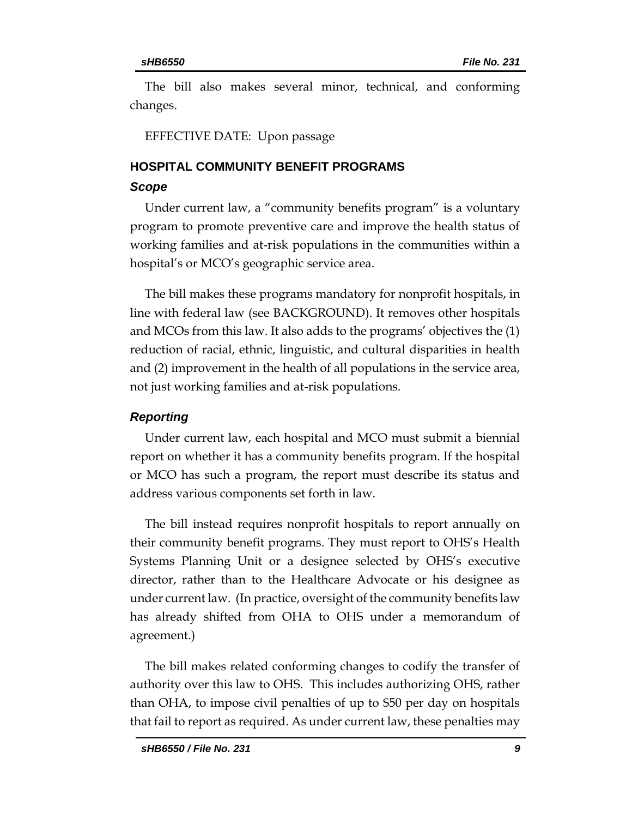The bill also makes several minor, technical, and conforming changes.

EFFECTIVE DATE: Upon passage

# **HOSPITAL COMMUNITY BENEFIT PROGRAMS**

### *Scope*

Under current law, a "community benefits program" is a voluntary program to promote preventive care and improve the health status of working families and at-risk populations in the communities within a hospital's or MCO's geographic service area.

The bill makes these programs mandatory for nonprofit hospitals, in line with federal law (see BACKGROUND). It removes other hospitals and MCOs from this law. It also adds to the programs' objectives the (1) reduction of racial, ethnic, linguistic, and cultural disparities in health and (2) improvement in the health of all populations in the service area, not just working families and at-risk populations.

## *Reporting*

Under current law, each hospital and MCO must submit a biennial report on whether it has a community benefits program. If the hospital or MCO has such a program, the report must describe its status and address various components set forth in law.

The bill instead requires nonprofit hospitals to report annually on their community benefit programs. They must report to OHS's Health Systems Planning Unit or a designee selected by OHS's executive director, rather than to the Healthcare Advocate or his designee as under current law. (In practice, oversight of the community benefits law has already shifted from OHA to OHS under a memorandum of agreement.)

The bill makes related conforming changes to codify the transfer of authority over this law to OHS. This includes authorizing OHS, rather than OHA, to impose civil penalties of up to \$50 per day on hospitals that fail to report as required. As under current law, these penalties may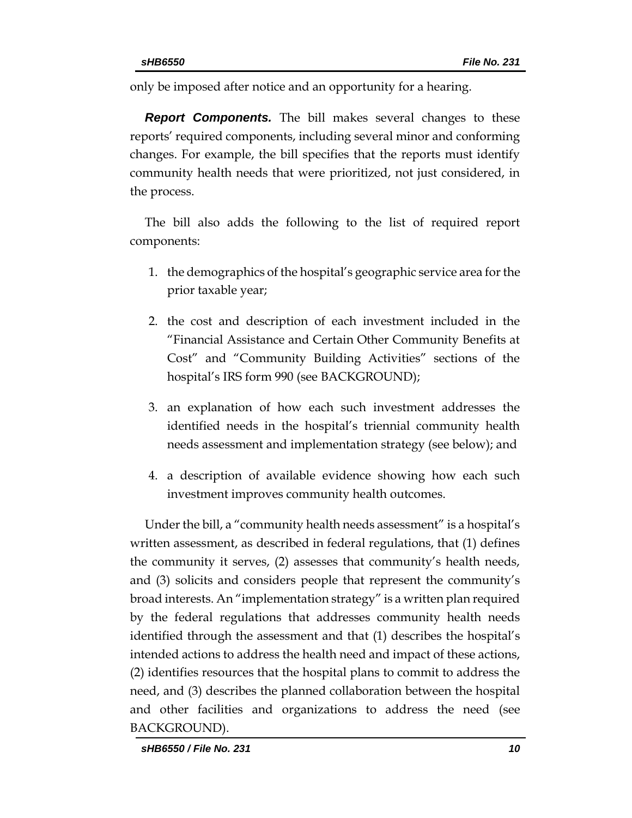only be imposed after notice and an opportunity for a hearing.

*Report Components.* The bill makes several changes to these reports' required components, including several minor and conforming changes. For example, the bill specifies that the reports must identify community health needs that were prioritized, not just considered, in the process.

The bill also adds the following to the list of required report components:

- 1. the demographics of the hospital's geographic service area forthe prior taxable year;
- 2. the cost and description of each investment included in the "Financial Assistance and Certain Other Community Benefits at Cost" and "Community Building Activities" sections of the hospital's IRS form 990 (see BACKGROUND);
- 3. an explanation of how each such investment addresses the identified needs in the hospital's triennial community health needs assessment and implementation strategy (see below); and
- 4. a description of available evidence showing how each such investment improves community health outcomes.

Under the bill, a "community health needs assessment" is a hospital's written assessment, as described in federal regulations, that (1) defines the community it serves, (2) assesses that community's health needs, and (3) solicits and considers people that represent the community's broad interests. An "implementation strategy" is a written plan required by the federal regulations that addresses community health needs identified through the assessment and that (1) describes the hospital's intended actions to address the health need and impact of these actions, (2) identifies resources that the hospital plans to commit to address the need, and (3) describes the planned collaboration between the hospital and other facilities and organizations to address the need (see BACKGROUND).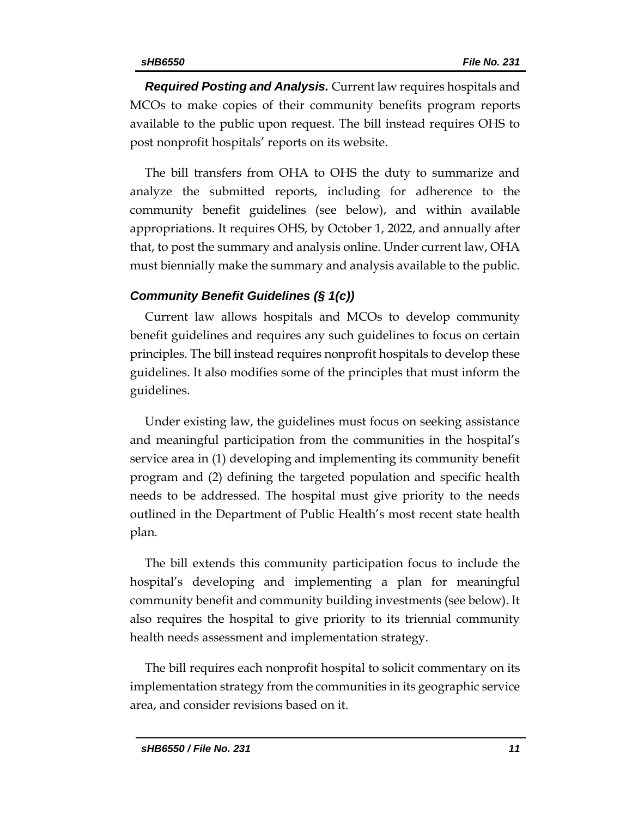*Required Posting and Analysis.* Current law requires hospitals and MCOs to make copies of their community benefits program reports available to the public upon request. The bill instead requires OHS to post nonprofit hospitals' reports on its website.

The bill transfers from OHA to OHS the duty to summarize and analyze the submitted reports, including for adherence to the community benefit guidelines (see below), and within available appropriations. It requires OHS, by October 1, 2022, and annually after that, to post the summary and analysis online. Under current law, OHA must biennially make the summary and analysis available to the public.

### *Community Benefit Guidelines (§ 1(c))*

Current law allows hospitals and MCOs to develop community benefit guidelines and requires any such guidelines to focus on certain principles. The bill instead requires nonprofit hospitals to develop these guidelines. It also modifies some of the principles that must inform the guidelines.

Under existing law, the guidelines must focus on seeking assistance and meaningful participation from the communities in the hospital's service area in (1) developing and implementing its community benefit program and (2) defining the targeted population and specific health needs to be addressed. The hospital must give priority to the needs outlined in the Department of Public Health's most recent state health plan.

The bill extends this community participation focus to include the hospital's developing and implementing a plan for meaningful community benefit and community building investments (see below). It also requires the hospital to give priority to its triennial community health needs assessment and implementation strategy.

The bill requires each nonprofit hospital to solicit commentary on its implementation strategy from the communities in its geographic service area, and consider revisions based on it.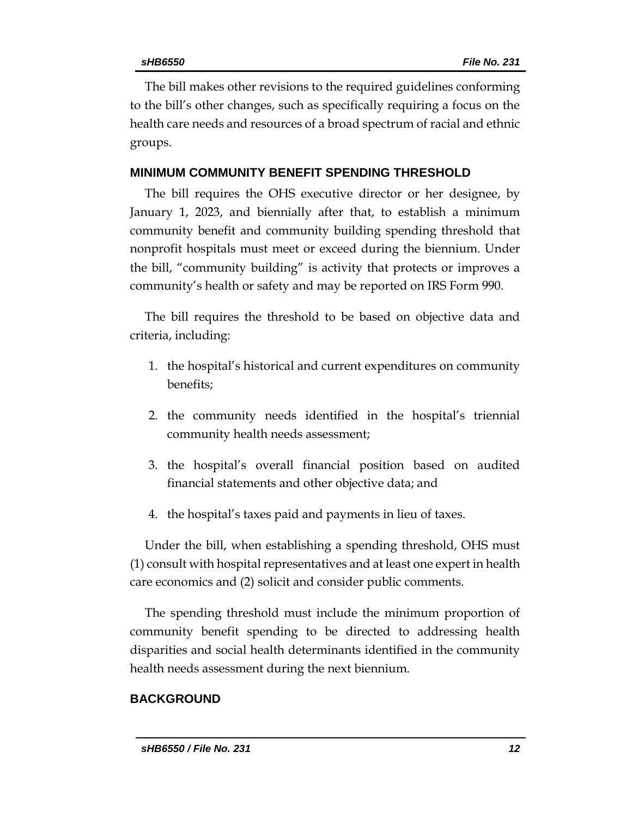The bill makes other revisions to the required guidelines conforming to the bill's other changes, such as specifically requiring a focus on the health care needs and resources of a broad spectrum of racial and ethnic groups.

### **MINIMUM COMMUNITY BENEFIT SPENDING THRESHOLD**

The bill requires the OHS executive director or her designee, by January 1, 2023, and biennially after that, to establish a minimum community benefit and community building spending threshold that nonprofit hospitals must meet or exceed during the biennium. Under the bill, "community building" is activity that protects or improves a community's health or safety and may be reported on IRS Form 990.

The bill requires the threshold to be based on objective data and criteria, including:

- 1. the hospital's historical and current expenditures on community benefits;
- 2. the community needs identified in the hospital's triennial community health needs assessment;
- 3. the hospital's overall financial position based on audited financial statements and other objective data; and
- 4. the hospital's taxes paid and payments in lieu of taxes.

Under the bill, when establishing a spending threshold, OHS must (1) consult with hospital representatives and at least one expert in health care economics and (2) solicit and consider public comments.

The spending threshold must include the minimum proportion of community benefit spending to be directed to addressing health disparities and social health determinants identified in the community health needs assessment during the next biennium.

### **BACKGROUND**